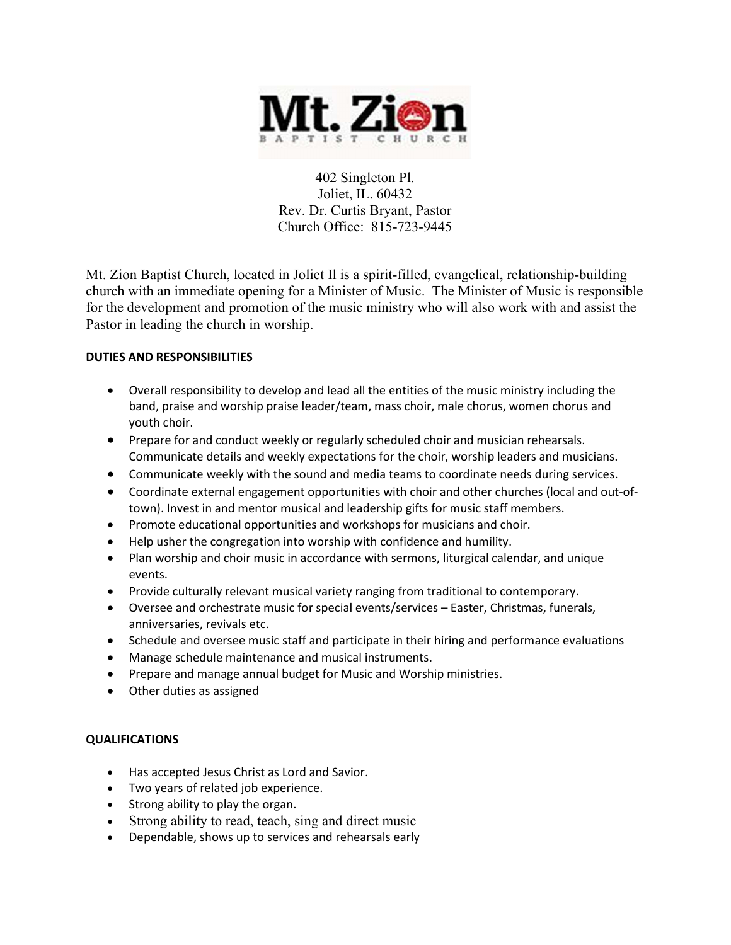

402 Singleton Pl. Joliet, IL. 60432 Rev. Dr. Curtis Bryant, Pastor Church Office: 815-723-9445

Mt. Zion Baptist Church, located in Joliet Il is a spirit-filled, evangelical, relationship-building church with an immediate opening for a Minister of Music. The Minister of Music is responsible for the development and promotion of the music ministry who will also work with and assist the Pastor in leading the church in worship.

## DUTIES AND RESPONSIBILITIES

- Overall responsibility to develop and lead all the entities of the music ministry including the band, praise and worship praise leader/team, mass choir, male chorus, women chorus and youth choir.
- Prepare for and conduct weekly or regularly scheduled choir and musician rehearsals. Communicate details and weekly expectations for the choir, worship leaders and musicians.
- Communicate weekly with the sound and media teams to coordinate needs during services.
- Coordinate external engagement opportunities with choir and other churches (local and out-oftown). Invest in and mentor musical and leadership gifts for music staff members.
- Promote educational opportunities and workshops for musicians and choir.
- Help usher the congregation into worship with confidence and humility.
- Plan worship and choir music in accordance with sermons, liturgical calendar, and unique events.
- Provide culturally relevant musical variety ranging from traditional to contemporary.
- Oversee and orchestrate music for special events/services Easter, Christmas, funerals, anniversaries, revivals etc.
- Schedule and oversee music staff and participate in their hiring and performance evaluations
- Manage schedule maintenance and musical instruments.
- Prepare and manage annual budget for Music and Worship ministries.
- Other duties as assigned

## QUALIFICATIONS

- Has accepted Jesus Christ as Lord and Savior.
- Two years of related job experience.
- Strong ability to play the organ.
- Strong ability to read, teach, sing and direct music
- Dependable, shows up to services and rehearsals early